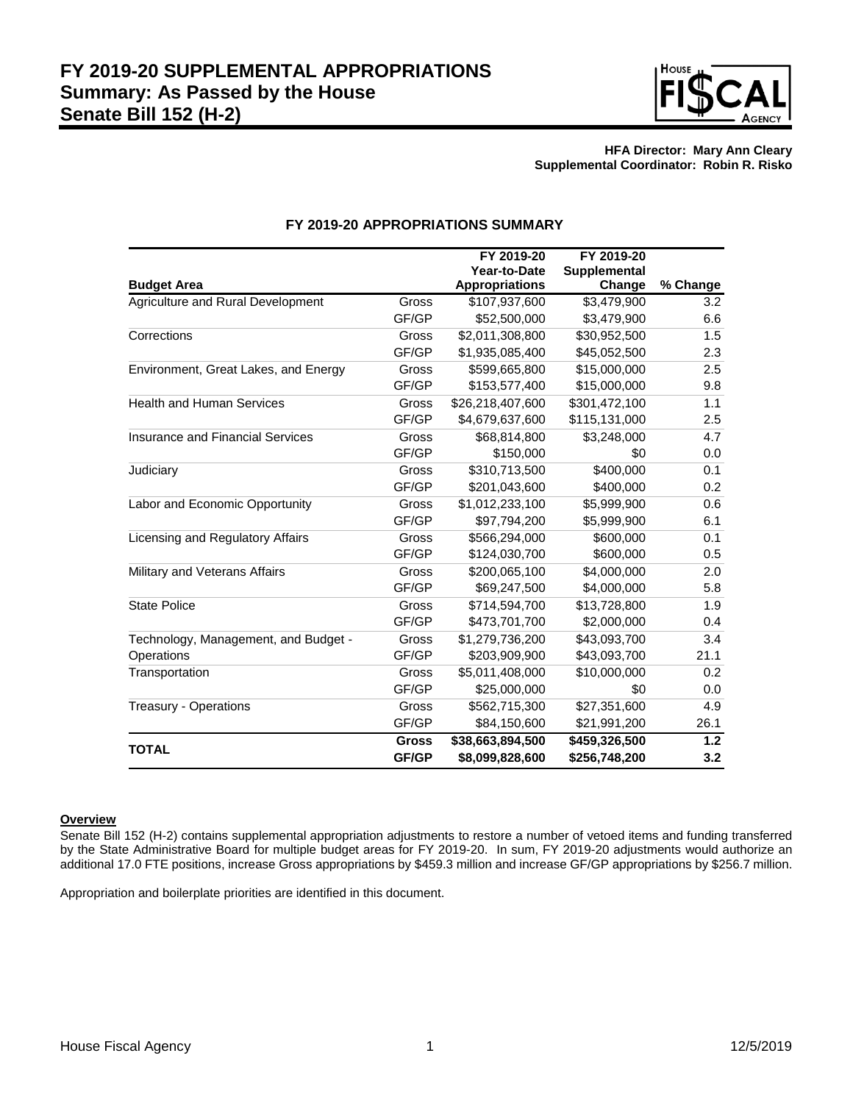

# **HFA Director: Mary Ann Cleary Supplemental Coordinator: Robin R. Risko**

|                                         |              | FY 2019-20            | FY 2019-20          |          |
|-----------------------------------------|--------------|-----------------------|---------------------|----------|
|                                         |              | Year-to-Date          | <b>Supplemental</b> |          |
| <b>Budget Area</b>                      |              | <b>Appropriations</b> | Change              | % Change |
| Agriculture and Rural Development       | Gross        | \$107,937,600         | \$3,479,900         | 3.2      |
|                                         | GF/GP        | \$52,500,000          | \$3,479,900         | 6.6      |
| Corrections                             | Gross        | \$2,011,308,800       | \$30,952,500        | 1.5      |
|                                         | GF/GP        | \$1,935,085,400       | \$45,052,500        | 2.3      |
| Environment, Great Lakes, and Energy    | Gross        | \$599,665,800         | \$15,000,000        | 2.5      |
|                                         | GF/GP        | \$153,577,400         | \$15,000,000        | 9.8      |
| <b>Health and Human Services</b>        | Gross        | \$26,218,407,600      | \$301,472,100       | 1.1      |
|                                         | GF/GP        | \$4,679,637,600       | \$115,131,000       | 2.5      |
| <b>Insurance and Financial Services</b> | Gross        | \$68,814,800          | \$3,248,000         | 4.7      |
|                                         | GF/GP        | \$150,000             | \$0                 | 0.0      |
| Judiciary                               | Gross        | \$310,713,500         | \$400,000           | 0.1      |
|                                         | GF/GP        | \$201,043,600         | \$400,000           | 0.2      |
| Labor and Economic Opportunity          | Gross        | \$1,012,233,100       | \$5,999,900         | 0.6      |
|                                         | GF/GP        | \$97,794,200          | \$5,999,900         | 6.1      |
| Licensing and Regulatory Affairs        | Gross        | \$566,294,000         | \$600,000           | 0.1      |
|                                         | GF/GP        | \$124,030,700         | \$600,000           | 0.5      |
| Military and Veterans Affairs           | Gross        | \$200,065,100         | \$4,000,000         | 2.0      |
|                                         | GF/GP        | \$69,247,500          | \$4,000,000         | 5.8      |
| <b>State Police</b>                     | Gross        | \$714,594,700         | \$13,728,800        | 1.9      |
|                                         | GF/GP        | \$473,701,700         | \$2,000,000         | 0.4      |
| Technology, Management, and Budget -    | Gross        | \$1,279,736,200       | \$43,093,700        | 3.4      |
| Operations                              | GF/GP        | \$203,909,900         | \$43,093,700        | 21.1     |
| Transportation                          | Gross        | \$5,011,408,000       | \$10,000,000        | 0.2      |
|                                         | GF/GP        | \$25,000,000          | \$0                 | 0.0      |
| Treasury - Operations                   | Gross        | \$562,715,300         | \$27,351,600        | 4.9      |
|                                         | GF/GP        | \$84,150,600          | \$21,991,200        | 26.1     |
| <b>TOTAL</b>                            | <b>Gross</b> | \$38,663,894,500      | \$459,326,500       | 1.2      |
|                                         | GF/GP        | \$8,099,828,600       | \$256,748,200       | 3.2      |

# **FY 2019-20 APPROPRIATIONS SUMMARY**

# **Overview**

Senate Bill 152 (H-2) contains supplemental appropriation adjustments to restore a number of vetoed items and funding transferred by the State Administrative Board for multiple budget areas for FY 2019-20. In sum, FY 2019-20 adjustments would authorize an additional 17.0 FTE positions, increase Gross appropriations by \$459.3 million and increase GF/GP appropriations by \$256.7 million.

Appropriation and boilerplate priorities are identified in this document.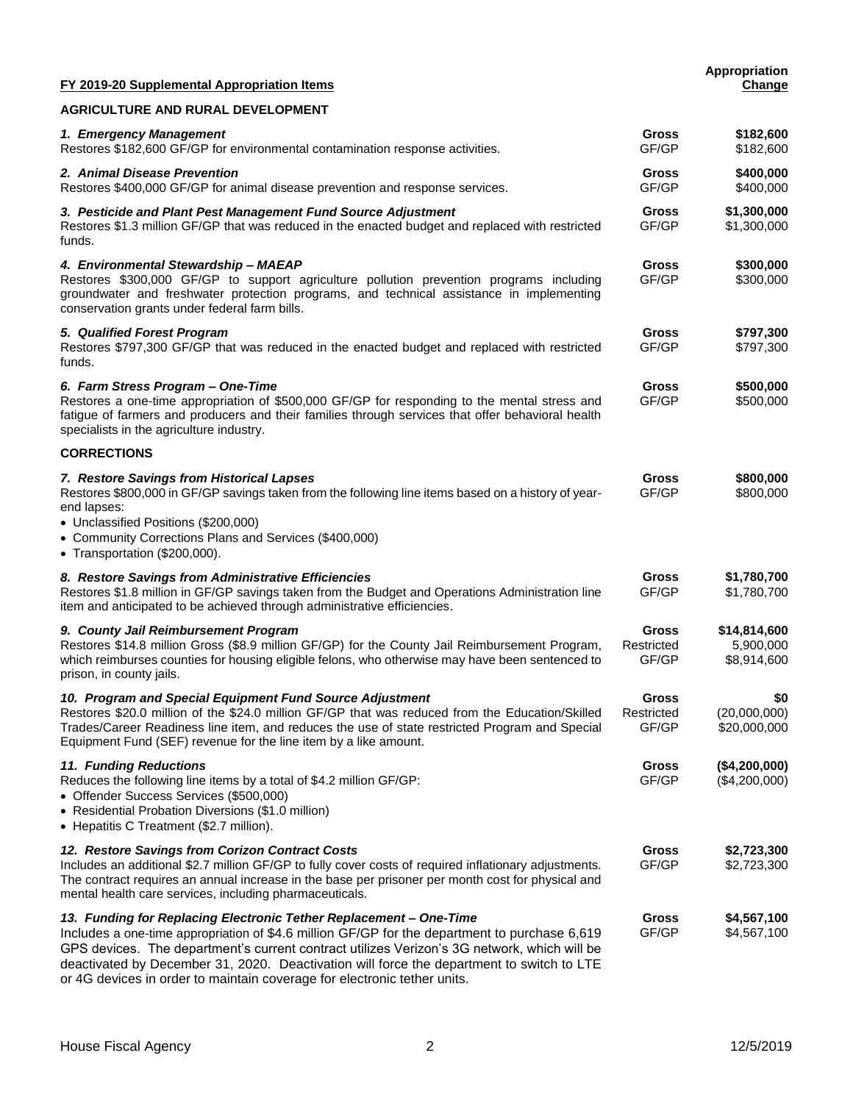| FY 2019-20 Supplemental Appropriation Items                                                                                                                                                                                                                                                                                                                                                                                                 |                                     | Appropriation<br>Change                  |
|---------------------------------------------------------------------------------------------------------------------------------------------------------------------------------------------------------------------------------------------------------------------------------------------------------------------------------------------------------------------------------------------------------------------------------------------|-------------------------------------|------------------------------------------|
| <b>AGRICULTURE AND RURAL DEVELOPMENT</b>                                                                                                                                                                                                                                                                                                                                                                                                    |                                     |                                          |
| 1. Emergency Management<br>Restores \$182,600 GF/GP for environmental contamination response activities.                                                                                                                                                                                                                                                                                                                                    | <b>Gross</b><br>GF/GP               | \$182,600<br>\$182,600                   |
| 2. Animal Disease Prevention<br>Restores \$400,000 GF/GP for animal disease prevention and response services.                                                                                                                                                                                                                                                                                                                               | <b>Gross</b><br>GF/GP               | \$400,000<br>\$400,000                   |
| 3. Pesticide and Plant Pest Management Fund Source Adjustment<br>Restores \$1.3 million GF/GP that was reduced in the enacted budget and replaced with restricted<br>funds.                                                                                                                                                                                                                                                                 | <b>Gross</b><br>GF/GP               | \$1,300,000<br>\$1,300,000               |
| 4. Environmental Stewardship - MAEAP<br>Restores \$300,000 GF/GP to support agriculture pollution prevention programs including<br>groundwater and freshwater protection programs, and technical assistance in implementing<br>conservation grants under federal farm bills.                                                                                                                                                                | <b>Gross</b><br>GF/GP               | \$300,000<br>\$300,000                   |
| 5. Qualified Forest Program<br>Restores \$797,300 GF/GP that was reduced in the enacted budget and replaced with restricted<br>funds.                                                                                                                                                                                                                                                                                                       | <b>Gross</b><br>GF/GP               | \$797,300<br>\$797,300                   |
| 6. Farm Stress Program - One-Time<br>Restores a one-time appropriation of \$500,000 GF/GP for responding to the mental stress and<br>fatigue of farmers and producers and their families through services that offer behavioral health<br>specialists in the agriculture industry.                                                                                                                                                          | <b>Gross</b><br>GF/GP               | \$500,000<br>\$500,000                   |
| <b>CORRECTIONS</b>                                                                                                                                                                                                                                                                                                                                                                                                                          |                                     |                                          |
| 7. Restore Savings from Historical Lapses<br>Restores \$800,000 in GF/GP savings taken from the following line items based on a history of year-<br>end lapses:<br>• Unclassified Positions (\$200,000)<br>• Community Corrections Plans and Services (\$400,000)<br>• Transportation (\$200,000).                                                                                                                                          | Gross<br>GF/GP                      | \$800,000<br>\$800,000                   |
| 8. Restore Savings from Administrative Efficiencies<br>Restores \$1.8 million in GF/GP savings taken from the Budget and Operations Administration line<br>item and anticipated to be achieved through administrative efficiencies.                                                                                                                                                                                                         | <b>Gross</b><br>GF/GP               | \$1,780,700<br>\$1,780,700               |
| 9. County Jail Reimbursement Program<br>Restores \$14.8 million Gross (\$8.9 million GF/GP) for the County Jail Reimbursement Program,<br>which reimburses counties for housing eligible felons, who otherwise may have been sentenced to<br>prison, in county jails.                                                                                                                                                                       | <b>Gross</b><br>Restricted<br>GF/GP | \$14,814,600<br>5,900,000<br>\$8,914,600 |
| 10. Program and Special Equipment Fund Source Adjustment<br>Restores \$20.0 million of the \$24.0 million GF/GP that was reduced from the Education/Skilled<br>Trades/Career Readiness line item, and reduces the use of state restricted Program and Special<br>Equipment Fund (SEF) revenue for the line item by a like amount.                                                                                                           | <b>Gross</b><br>Restricted<br>GF/GP | \$0<br>(20,000,000)<br>\$20,000,000      |
| 11. Funding Reductions<br>Reduces the following line items by a total of \$4.2 million GF/GP:<br>• Offender Success Services (\$500,000)<br>• Residential Probation Diversions (\$1.0 million)<br>• Hepatitis C Treatment (\$2.7 million).                                                                                                                                                                                                  | <b>Gross</b><br>GF/GP               | (\$4,200,000)<br>(\$4,200,000)           |
| 12. Restore Savings from Corizon Contract Costs<br>Includes an additional \$2.7 million GF/GP to fully cover costs of required inflationary adjustments.<br>The contract requires an annual increase in the base per prisoner per month cost for physical and<br>mental health care services, including pharmaceuticals.                                                                                                                    | <b>Gross</b><br>GF/GP               | \$2,723,300<br>\$2,723,300               |
| 13. Funding for Replacing Electronic Tether Replacement - One-Time<br>Includes a one-time appropriation of \$4.6 million GF/GP for the department to purchase 6,619<br>GPS devices. The department's current contract utilizes Verizon's 3G network, which will be<br>deactivated by December 31, 2020. Deactivation will force the department to switch to LTE<br>or 4G devices in order to maintain coverage for electronic tether units. | Gross<br>GF/GP                      | \$4,567,100<br>\$4,567,100               |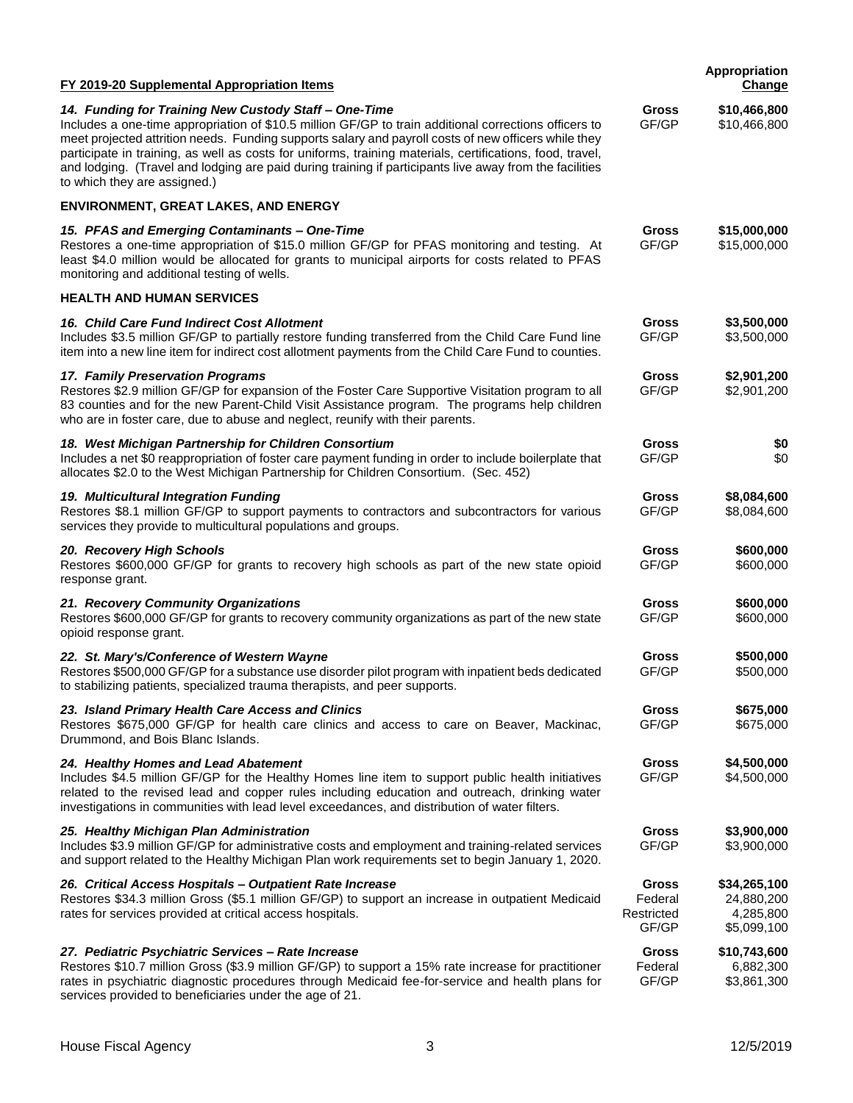| FY 2019-20 Supplemental Appropriation Items                                                                                                                                                                                                                                                                                                                                                                                                                                                                                    |                                         | Appropriation<br><b>Change</b>                         |
|--------------------------------------------------------------------------------------------------------------------------------------------------------------------------------------------------------------------------------------------------------------------------------------------------------------------------------------------------------------------------------------------------------------------------------------------------------------------------------------------------------------------------------|-----------------------------------------|--------------------------------------------------------|
| 14. Funding for Training New Custody Staff - One-Time<br>Includes a one-time appropriation of \$10.5 million GF/GP to train additional corrections officers to<br>meet projected attrition needs. Funding supports salary and payroll costs of new officers while they<br>participate in training, as well as costs for uniforms, training materials, certifications, food, travel,<br>and lodging. (Travel and lodging are paid during training if participants live away from the facilities<br>to which they are assigned.) | Gross<br>GF/GP                          | \$10,466,800<br>\$10,466,800                           |
| <b>ENVIRONMENT, GREAT LAKES, AND ENERGY</b>                                                                                                                                                                                                                                                                                                                                                                                                                                                                                    |                                         |                                                        |
| 15. PFAS and Emerging Contaminants - One-Time<br>Restores a one-time appropriation of \$15.0 million GF/GP for PFAS monitoring and testing. At<br>least \$4.0 million would be allocated for grants to municipal airports for costs related to PFAS<br>monitoring and additional testing of wells.                                                                                                                                                                                                                             | <b>Gross</b><br>GF/GP                   | \$15,000,000<br>\$15,000,000                           |
| <b>HEALTH AND HUMAN SERVICES</b>                                                                                                                                                                                                                                                                                                                                                                                                                                                                                               |                                         |                                                        |
| 16. Child Care Fund Indirect Cost Allotment<br>Includes \$3.5 million GF/GP to partially restore funding transferred from the Child Care Fund line<br>item into a new line item for indirect cost allotment payments from the Child Care Fund to counties.                                                                                                                                                                                                                                                                     | Gross<br>GF/GP                          | \$3,500,000<br>\$3,500,000                             |
| 17. Family Preservation Programs<br>Restores \$2.9 million GF/GP for expansion of the Foster Care Supportive Visitation program to all<br>83 counties and for the new Parent-Child Visit Assistance program. The programs help children<br>who are in foster care, due to abuse and neglect, reunify with their parents.                                                                                                                                                                                                       | Gross<br>GF/GP                          | \$2,901,200<br>\$2,901,200                             |
| 18. West Michigan Partnership for Children Consortium<br>Includes a net \$0 reappropriation of foster care payment funding in order to include boilerplate that<br>allocates \$2.0 to the West Michigan Partnership for Children Consortium. (Sec. 452)                                                                                                                                                                                                                                                                        | <b>Gross</b><br>GF/GP                   | \$0<br>\$0                                             |
| 19. Multicultural Integration Funding<br>Restores \$8.1 million GF/GP to support payments to contractors and subcontractors for various<br>services they provide to multicultural populations and groups.                                                                                                                                                                                                                                                                                                                      | Gross<br>GF/GP                          | \$8,084,600<br>\$8,084,600                             |
| 20. Recovery High Schools<br>Restores \$600,000 GF/GP for grants to recovery high schools as part of the new state opioid<br>response grant.                                                                                                                                                                                                                                                                                                                                                                                   | <b>Gross</b><br>GF/GP                   | \$600,000<br>\$600,000                                 |
| 21. Recovery Community Organizations<br>Restores \$600,000 GF/GP for grants to recovery community organizations as part of the new state<br>opioid response grant.                                                                                                                                                                                                                                                                                                                                                             | Gross<br>GF/GP                          | \$600,000<br>\$600,000                                 |
| 22. St. Mary's/Conference of Western Wayne<br>Restores \$500,000 GF/GP for a substance use disorder pilot program with inpatient beds dedicated<br>to stabilizing patients, specialized trauma therapists, and peer supports.                                                                                                                                                                                                                                                                                                  | Gross<br>GF/GP                          | \$500,000<br>\$500,000                                 |
| 23. Island Primary Health Care Access and Clinics<br>Restores \$675,000 GF/GP for health care clinics and access to care on Beaver, Mackinac,<br>Drummond, and Bois Blanc Islands.                                                                                                                                                                                                                                                                                                                                             | Gross<br>GF/GP                          | \$675,000<br>\$675,000                                 |
| 24. Healthy Homes and Lead Abatement<br>Includes \$4.5 million GF/GP for the Healthy Homes line item to support public health initiatives<br>related to the revised lead and copper rules including education and outreach, drinking water<br>investigations in communities with lead level exceedances, and distribution of water filters.                                                                                                                                                                                    | <b>Gross</b><br>GF/GP                   | \$4,500,000<br>\$4,500,000                             |
| 25. Healthy Michigan Plan Administration<br>Includes \$3.9 million GF/GP for administrative costs and employment and training-related services<br>and support related to the Healthy Michigan Plan work requirements set to begin January 1, 2020.                                                                                                                                                                                                                                                                             | <b>Gross</b><br>GF/GP                   | \$3,900,000<br>\$3,900,000                             |
| 26. Critical Access Hospitals - Outpatient Rate Increase<br>Restores \$34.3 million Gross (\$5.1 million GF/GP) to support an increase in outpatient Medicaid<br>rates for services provided at critical access hospitals.                                                                                                                                                                                                                                                                                                     | Gross<br>Federal<br>Restricted<br>GF/GP | \$34,265,100<br>24,880,200<br>4,285,800<br>\$5,099,100 |
| 27. Pediatric Psychiatric Services - Rate Increase<br>Restores \$10.7 million Gross (\$3.9 million GF/GP) to support a 15% rate increase for practitioner<br>rates in psychiatric diagnostic procedures through Medicaid fee-for-service and health plans for<br>services provided to beneficiaries under the age of 21.                                                                                                                                                                                                       | Gross<br>Federal<br>GF/GP               | \$10,743,600<br>6,882,300<br>\$3,861,300               |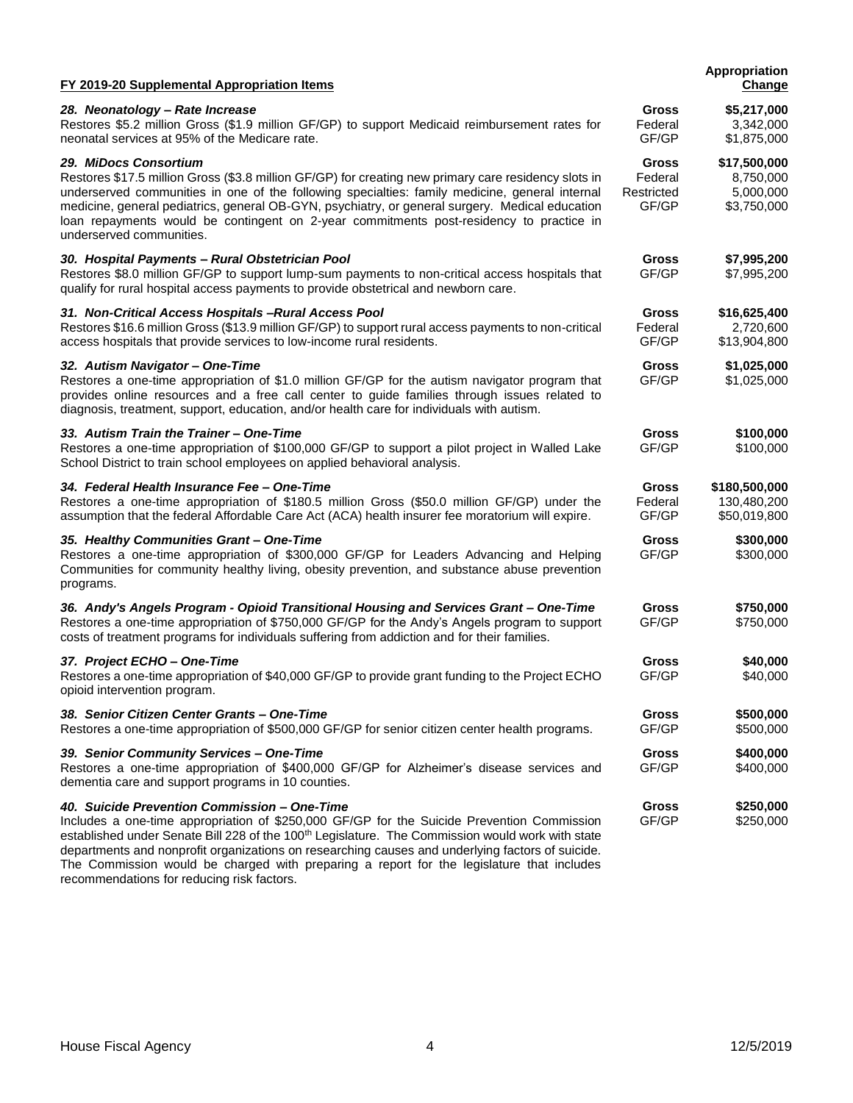| FY 2019-20 Supplemental Appropriation Items                                                                                                                                                                                                                                                                                                                                                                                                                 |                                                | Appropriation<br>Change                               |
|-------------------------------------------------------------------------------------------------------------------------------------------------------------------------------------------------------------------------------------------------------------------------------------------------------------------------------------------------------------------------------------------------------------------------------------------------------------|------------------------------------------------|-------------------------------------------------------|
| 28. Neonatology - Rate Increase<br>Restores \$5.2 million Gross (\$1.9 million GF/GP) to support Medicaid reimbursement rates for<br>neonatal services at 95% of the Medicare rate.                                                                                                                                                                                                                                                                         | Gross<br>Federal<br>GF/GP                      | \$5,217,000<br>3,342,000<br>\$1,875,000               |
| 29. MiDocs Consortium<br>Restores \$17.5 million Gross (\$3.8 million GF/GP) for creating new primary care residency slots in<br>underserved communities in one of the following specialties: family medicine, general internal<br>medicine, general pediatrics, general OB-GYN, psychiatry, or general surgery. Medical education<br>loan repayments would be contingent on 2-year commitments post-residency to practice in<br>underserved communities.   | <b>Gross</b><br>Federal<br>Restricted<br>GF/GP | \$17,500,000<br>8,750,000<br>5,000,000<br>\$3,750,000 |
| 30. Hospital Payments - Rural Obstetrician Pool<br>Restores \$8.0 million GF/GP to support lump-sum payments to non-critical access hospitals that<br>qualify for rural hospital access payments to provide obstetrical and newborn care.                                                                                                                                                                                                                   | <b>Gross</b><br>GF/GP                          | \$7,995,200<br>\$7,995,200                            |
| 31. Non-Critical Access Hospitals-Rural Access Pool<br>Restores \$16.6 million Gross (\$13.9 million GF/GP) to support rural access payments to non-critical<br>access hospitals that provide services to low-income rural residents.                                                                                                                                                                                                                       | <b>Gross</b><br>Federal<br>GF/GP               | \$16,625,400<br>2,720,600<br>\$13,904,800             |
| 32. Autism Navigator - One-Time<br>Restores a one-time appropriation of \$1.0 million GF/GP for the autism navigator program that<br>provides online resources and a free call center to guide families through issues related to<br>diagnosis, treatment, support, education, and/or health care for individuals with autism.                                                                                                                              | <b>Gross</b><br>GF/GP                          | \$1,025,000<br>\$1,025,000                            |
| 33. Autism Train the Trainer - One-Time<br>Restores a one-time appropriation of \$100,000 GF/GP to support a pilot project in Walled Lake<br>School District to train school employees on applied behavioral analysis.                                                                                                                                                                                                                                      | <b>Gross</b><br>GF/GP                          | \$100,000<br>\$100,000                                |
| 34. Federal Health Insurance Fee - One-Time<br>Restores a one-time appropriation of \$180.5 million Gross (\$50.0 million GF/GP) under the<br>assumption that the federal Affordable Care Act (ACA) health insurer fee moratorium will expire.                                                                                                                                                                                                              | <b>Gross</b><br>Federal<br>GF/GP               | \$180,500,000<br>130,480,200<br>\$50,019,800          |
| 35. Healthy Communities Grant - One-Time<br>Restores a one-time appropriation of \$300,000 GF/GP for Leaders Advancing and Helping<br>Communities for community healthy living, obesity prevention, and substance abuse prevention<br>programs.                                                                                                                                                                                                             | <b>Gross</b><br>GF/GP                          | \$300,000<br>\$300,000                                |
| 36. Andy's Angels Program - Opioid Transitional Housing and Services Grant - One-Time<br>Restores a one-time appropriation of \$750,000 GF/GP for the Andy's Angels program to support<br>costs of treatment programs for individuals suffering from addiction and for their families.                                                                                                                                                                      | Gross<br>GF/GP                                 | \$750,000<br>\$750,000                                |
| 37. Project ECHO - One-Time<br>Restores a one-time appropriation of \$40,000 GF/GP to provide grant funding to the Project ECHO<br>opioid intervention program.                                                                                                                                                                                                                                                                                             | Gross<br>GF/GP                                 | \$40,000<br>\$40,000                                  |
| 38. Senior Citizen Center Grants - One-Time<br>Restores a one-time appropriation of \$500,000 GF/GP for senior citizen center health programs.                                                                                                                                                                                                                                                                                                              | Gross<br>GF/GP                                 | \$500,000<br>\$500,000                                |
| 39. Senior Community Services - One-Time<br>Restores a one-time appropriation of \$400,000 GF/GP for Alzheimer's disease services and<br>dementia care and support programs in 10 counties.                                                                                                                                                                                                                                                                 | Gross<br>GF/GP                                 | \$400,000<br>\$400,000                                |
| 40. Suicide Prevention Commission - One-Time<br>Includes a one-time appropriation of \$250,000 GF/GP for the Suicide Prevention Commission<br>established under Senate Bill 228 of the 100 <sup>th</sup> Legislature. The Commission would work with state<br>departments and nonprofit organizations on researching causes and underlying factors of suicide.<br>The Commission would be charged with preparing a report for the legislature that includes | <b>Gross</b><br>GF/GP                          | \$250,000<br>\$250,000                                |

recommendations for reducing risk factors.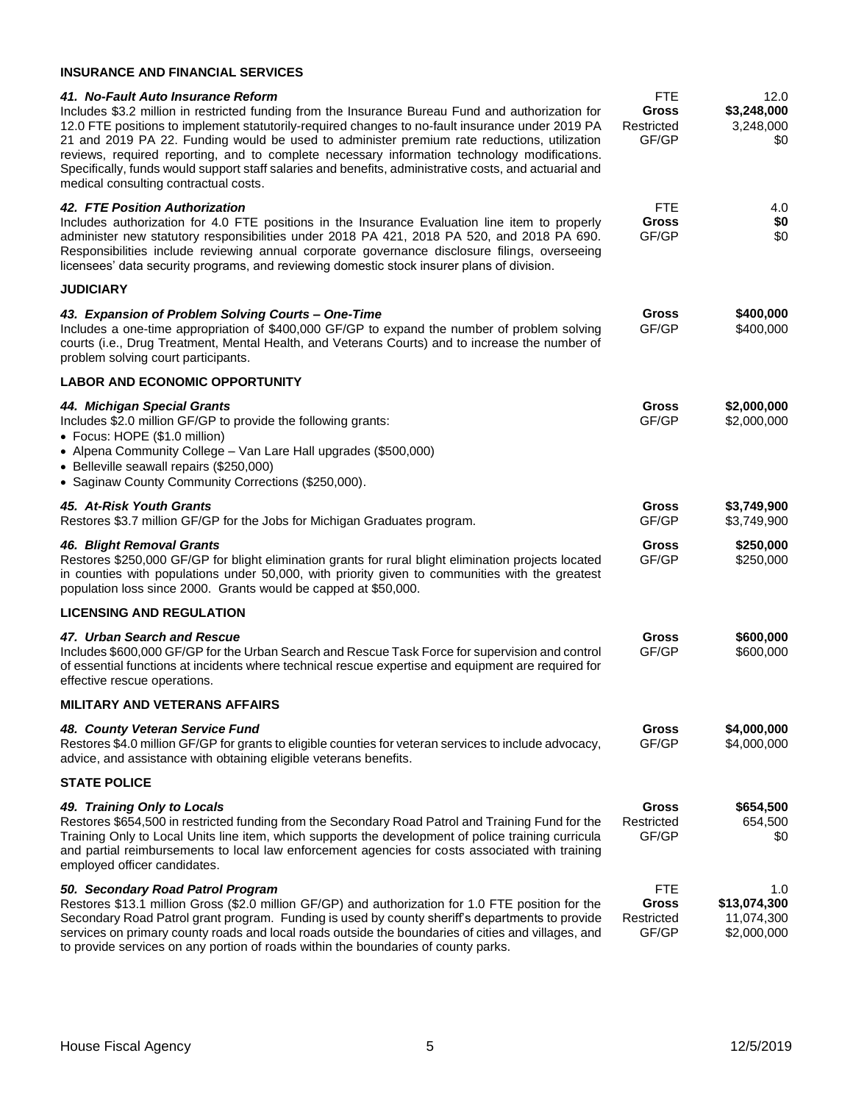# **INSURANCE AND FINANCIAL SERVICES**

| 41. No-Fault Auto Insurance Reform<br>Includes \$3.2 million in restricted funding from the Insurance Bureau Fund and authorization for<br>12.0 FTE positions to implement statutorily-required changes to no-fault insurance under 2019 PA<br>21 and 2019 PA 22. Funding would be used to administer premium rate reductions, utilization<br>reviews, required reporting, and to complete necessary information technology modifications.<br>Specifically, funds would support staff salaries and benefits, administrative costs, and actuarial and<br>medical consulting contractual costs. | <b>FTE</b><br><b>Gross</b><br>Restricted<br>GF/GP | 12.0<br>\$3,248,000<br>3,248,000<br>\$0          |
|-----------------------------------------------------------------------------------------------------------------------------------------------------------------------------------------------------------------------------------------------------------------------------------------------------------------------------------------------------------------------------------------------------------------------------------------------------------------------------------------------------------------------------------------------------------------------------------------------|---------------------------------------------------|--------------------------------------------------|
| 42. FTE Position Authorization<br>Includes authorization for 4.0 FTE positions in the Insurance Evaluation line item to properly<br>administer new statutory responsibilities under 2018 PA 421, 2018 PA 520, and 2018 PA 690.<br>Responsibilities include reviewing annual corporate governance disclosure filings, overseeing<br>licensees' data security programs, and reviewing domestic stock insurer plans of division.                                                                                                                                                                 | <b>FTE</b><br><b>Gross</b><br>GF/GP               | 4.0<br>\$0<br>\$0                                |
| <b>JUDICIARY</b>                                                                                                                                                                                                                                                                                                                                                                                                                                                                                                                                                                              |                                                   |                                                  |
| 43. Expansion of Problem Solving Courts - One-Time<br>Includes a one-time appropriation of \$400,000 GF/GP to expand the number of problem solving<br>courts (i.e., Drug Treatment, Mental Health, and Veterans Courts) and to increase the number of<br>problem solving court participants.                                                                                                                                                                                                                                                                                                  | Gross<br>GF/GP                                    | \$400,000<br>\$400,000                           |
| <b>LABOR AND ECONOMIC OPPORTUNITY</b>                                                                                                                                                                                                                                                                                                                                                                                                                                                                                                                                                         |                                                   |                                                  |
| 44. Michigan Special Grants<br>Includes \$2.0 million GF/GP to provide the following grants:<br>• Focus: HOPE (\$1.0 million)<br>• Alpena Community College - Van Lare Hall upgrades (\$500,000)<br>• Belleville seawall repairs (\$250,000)<br>• Saginaw County Community Corrections (\$250,000).                                                                                                                                                                                                                                                                                           | Gross<br>GF/GP                                    | \$2,000,000<br>\$2,000,000                       |
| 45. At-Risk Youth Grants<br>Restores \$3.7 million GF/GP for the Jobs for Michigan Graduates program.                                                                                                                                                                                                                                                                                                                                                                                                                                                                                         | Gross<br>GF/GP                                    | \$3,749,900<br>\$3,749,900                       |
| <b>46. Blight Removal Grants</b><br>Restores \$250,000 GF/GP for blight elimination grants for rural blight elimination projects located<br>in counties with populations under 50,000, with priority given to communities with the greatest<br>population loss since 2000. Grants would be capped at \$50,000.                                                                                                                                                                                                                                                                                | <b>Gross</b><br>GF/GP                             | \$250,000<br>\$250,000                           |
| <b>LICENSING AND REGULATION</b>                                                                                                                                                                                                                                                                                                                                                                                                                                                                                                                                                               |                                                   |                                                  |
| 47. Urban Search and Rescue<br>Includes \$600,000 GF/GP for the Urban Search and Rescue Task Force for supervision and control<br>of essential functions at incidents where technical rescue expertise and equipment are required for<br>effective rescue operations.                                                                                                                                                                                                                                                                                                                         | Gross<br>GF/GP                                    | \$600,000<br>\$600,000                           |
| MILITARY AND VETERANS AFFAIRS                                                                                                                                                                                                                                                                                                                                                                                                                                                                                                                                                                 |                                                   |                                                  |
| 48. County Veteran Service Fund<br>Restores \$4.0 million GF/GP for grants to eligible counties for veteran services to include advocacy,<br>advice, and assistance with obtaining eligible veterans benefits.                                                                                                                                                                                                                                                                                                                                                                                | Gross<br>GF/GP                                    | \$4,000,000<br>\$4,000,000                       |
| <b>STATE POLICE</b>                                                                                                                                                                                                                                                                                                                                                                                                                                                                                                                                                                           |                                                   |                                                  |
| 49. Training Only to Locals<br>Restores \$654,500 in restricted funding from the Secondary Road Patrol and Training Fund for the<br>Training Only to Local Units line item, which supports the development of police training curricula<br>and partial reimbursements to local law enforcement agencies for costs associated with training<br>employed officer candidates.                                                                                                                                                                                                                    | Gross<br>Restricted<br>GF/GP                      | \$654,500<br>654,500<br>\$0                      |
| 50. Secondary Road Patrol Program<br>Restores \$13.1 million Gross (\$2.0 million GF/GP) and authorization for 1.0 FTE position for the<br>Secondary Road Patrol grant program. Funding is used by county sheriff's departments to provide<br>services on primary county roads and local roads outside the boundaries of cities and villages, and                                                                                                                                                                                                                                             | <b>FTE</b><br>Gross<br>Restricted<br>GF/GP        | 1.0<br>\$13,074,300<br>11,074,300<br>\$2,000,000 |

to provide services on any portion of roads within the boundaries of county parks.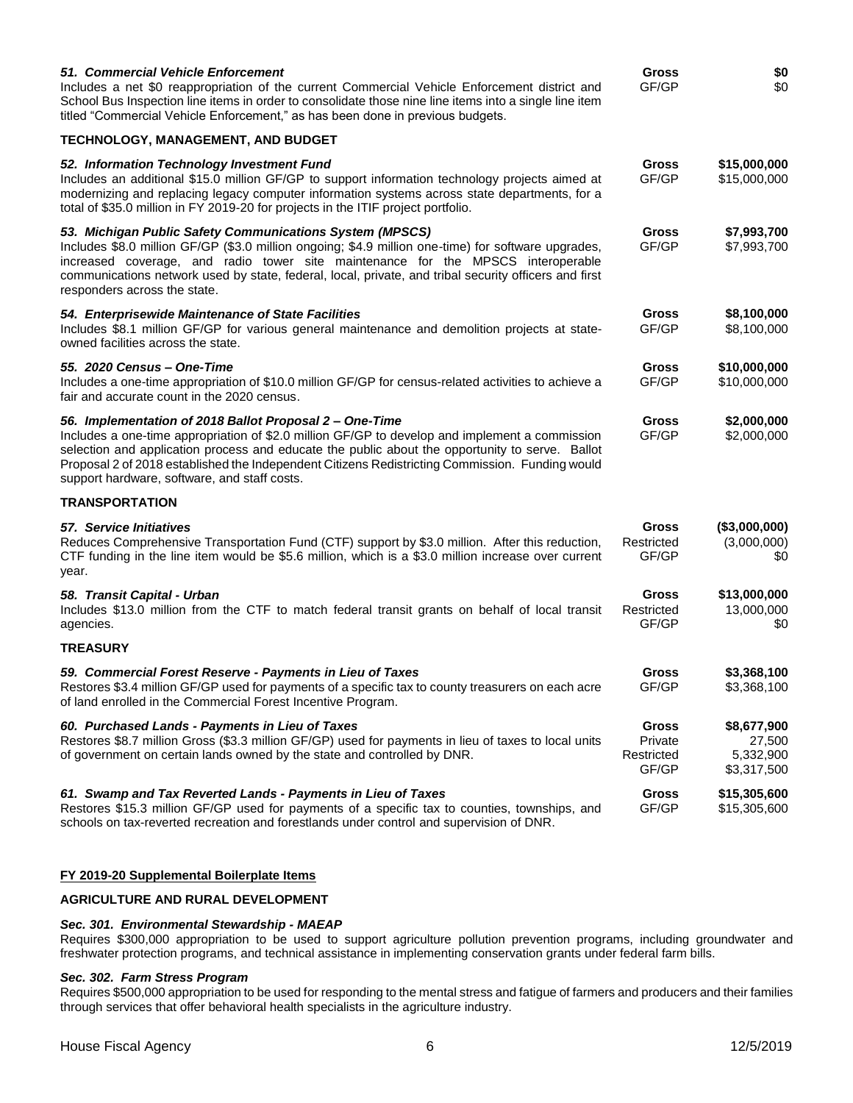| 51. Commercial Vehicle Enforcement<br>Includes a net \$0 reappropriation of the current Commercial Vehicle Enforcement district and<br>School Bus Inspection line items in order to consolidate those nine line items into a single line item<br>titled "Commercial Vehicle Enforcement," as has been done in previous budgets.                                                                                 |                                                | \$0<br>\$0                                        |
|-----------------------------------------------------------------------------------------------------------------------------------------------------------------------------------------------------------------------------------------------------------------------------------------------------------------------------------------------------------------------------------------------------------------|------------------------------------------------|---------------------------------------------------|
| <b>TECHNOLOGY, MANAGEMENT, AND BUDGET</b>                                                                                                                                                                                                                                                                                                                                                                       |                                                |                                                   |
| 52. Information Technology Investment Fund<br>Includes an additional \$15.0 million GF/GP to support information technology projects aimed at<br>modernizing and replacing legacy computer information systems across state departments, for a<br>total of \$35.0 million in FY 2019-20 for projects in the ITIF project portfolio.                                                                             | Gross<br>GF/GP                                 | \$15,000,000<br>\$15,000,000                      |
| 53. Michigan Public Safety Communications System (MPSCS)<br>Includes \$8.0 million GF/GP (\$3.0 million ongoing; \$4.9 million one-time) for software upgrades,<br>increased coverage, and radio tower site maintenance for the MPSCS interoperable<br>communications network used by state, federal, local, private, and tribal security officers and first<br>responders across the state.                    | <b>Gross</b><br>GF/GP                          | \$7,993,700<br>\$7,993,700                        |
| 54. Enterprisewide Maintenance of State Facilities<br>Includes \$8.1 million GF/GP for various general maintenance and demolition projects at state-<br>owned facilities across the state.                                                                                                                                                                                                                      | <b>Gross</b><br>GF/GP                          | \$8,100,000<br>\$8,100,000                        |
| 55. 2020 Census – One-Time<br>Includes a one-time appropriation of \$10.0 million GF/GP for census-related activities to achieve a<br>fair and accurate count in the 2020 census.                                                                                                                                                                                                                               | Gross<br>GF/GP                                 | \$10,000,000<br>\$10,000,000                      |
| 56. Implementation of 2018 Ballot Proposal 2 - One-Time<br>Includes a one-time appropriation of \$2.0 million GF/GP to develop and implement a commission<br>selection and application process and educate the public about the opportunity to serve. Ballot<br>Proposal 2 of 2018 established the Independent Citizens Redistricting Commission. Funding would<br>support hardware, software, and staff costs. | Gross<br>GF/GP                                 | \$2,000,000<br>\$2,000,000                        |
| TRANSPORTATION                                                                                                                                                                                                                                                                                                                                                                                                  |                                                |                                                   |
| 57. Service Initiatives<br>Reduces Comprehensive Transportation Fund (CTF) support by \$3.0 million. After this reduction,<br>CTF funding in the line item would be \$5.6 million, which is a \$3.0 million increase over current<br>year.                                                                                                                                                                      | Gross<br>Restricted<br>GF/GP                   | (\$3,000,000)<br>(3,000,000)<br>\$0               |
| 58. Transit Capital - Urban<br>Includes \$13.0 million from the CTF to match federal transit grants on behalf of local transit<br>agencies.                                                                                                                                                                                                                                                                     | Gross<br>Restricted<br>GF/GP                   | \$13,000,000<br>13,000,000<br>\$0                 |
| <b>TREASURY</b>                                                                                                                                                                                                                                                                                                                                                                                                 |                                                |                                                   |
| 59. Commercial Forest Reserve - Payments in Lieu of Taxes<br>Restores \$3.4 million GF/GP used for payments of a specific tax to county treasurers on each acre<br>of land enrolled in the Commercial Forest Incentive Program.                                                                                                                                                                                 | Gross<br>GF/GP                                 | \$3,368,100<br>\$3,368,100                        |
| 60. Purchased Lands - Payments in Lieu of Taxes<br>Restores \$8.7 million Gross (\$3.3 million GF/GP) used for payments in lieu of taxes to local units<br>of government on certain lands owned by the state and controlled by DNR.                                                                                                                                                                             | <b>Gross</b><br>Private<br>Restricted<br>GF/GP | \$8,677,900<br>27,500<br>5,332,900<br>\$3,317,500 |
| 61. Swamp and Tax Reverted Lands - Payments in Lieu of Taxes<br>Restores \$15.3 million GF/GP used for payments of a specific tax to counties, townships, and<br>schools on tax-reverted recreation and forestlands under control and supervision of DNR.                                                                                                                                                       | Gross<br>GF/GP                                 | \$15,305,600<br>\$15,305,600                      |

# **FY 2019-20 Supplemental Boilerplate Items**

# **AGRICULTURE AND RURAL DEVELOPMENT**

## *Sec. 301. Environmental Stewardship - MAEAP*

Requires \$300,000 appropriation to be used to support agriculture pollution prevention programs, including groundwater and freshwater protection programs, and technical assistance in implementing conservation grants under federal farm bills.

#### *Sec. 302. Farm Stress Program*

Requires \$500,000 appropriation to be used for responding to the mental stress and fatigue of farmers and producers and their families through services that offer behavioral health specialists in the agriculture industry.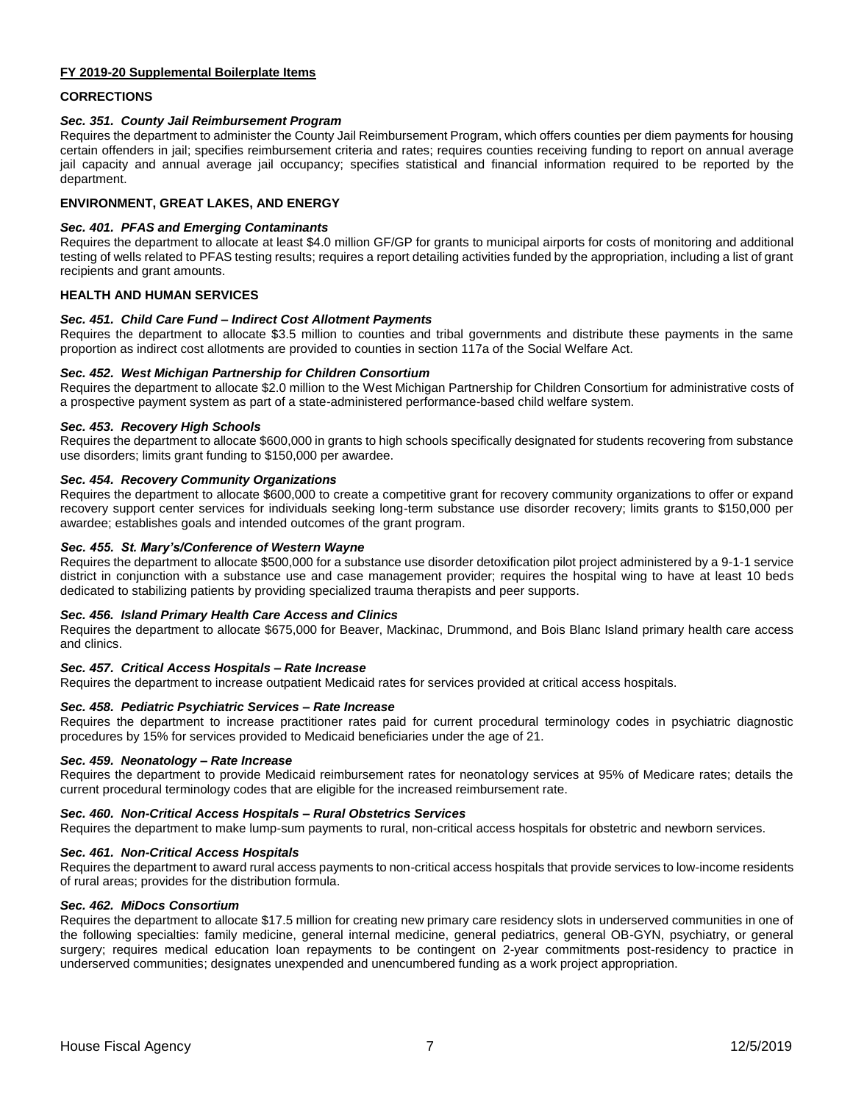## **FY 2019-20 Supplemental Boilerplate Items**

# **CORRECTIONS**

# *Sec. 351. County Jail Reimbursement Program*

Requires the department to administer the County Jail Reimbursement Program, which offers counties per diem payments for housing certain offenders in jail; specifies reimbursement criteria and rates; requires counties receiving funding to report on annual average jail capacity and annual average jail occupancy; specifies statistical and financial information required to be reported by the department.

# **ENVIRONMENT, GREAT LAKES, AND ENERGY**

# *Sec. 401. PFAS and Emerging Contaminants*

Requires the department to allocate at least \$4.0 million GF/GP for grants to municipal airports for costs of monitoring and additional testing of wells related to PFAS testing results; requires a report detailing activities funded by the appropriation, including a list of grant recipients and grant amounts.

# **HEALTH AND HUMAN SERVICES**

# *Sec. 451. Child Care Fund – Indirect Cost Allotment Payments*

Requires the department to allocate \$3.5 million to counties and tribal governments and distribute these payments in the same proportion as indirect cost allotments are provided to counties in section 117a of the Social Welfare Act.

# *Sec. 452. West Michigan Partnership for Children Consortium*

Requires the department to allocate \$2.0 million to the West Michigan Partnership for Children Consortium for administrative costs of a prospective payment system as part of a state-administered performance-based child welfare system.

## *Sec. 453. Recovery High Schools*

Requires the department to allocate \$600,000 in grants to high schools specifically designated for students recovering from substance use disorders; limits grant funding to \$150,000 per awardee.

# *Sec. 454. Recovery Community Organizations*

Requires the department to allocate \$600,000 to create a competitive grant for recovery community organizations to offer or expand recovery support center services for individuals seeking long-term substance use disorder recovery; limits grants to \$150,000 per awardee; establishes goals and intended outcomes of the grant program.

# *Sec. 455. St. Mary's/Conference of Western Wayne*

Requires the department to allocate \$500,000 for a substance use disorder detoxification pilot project administered by a 9-1-1 service district in conjunction with a substance use and case management provider; requires the hospital wing to have at least 10 beds dedicated to stabilizing patients by providing specialized trauma therapists and peer supports.

## *Sec. 456. Island Primary Health Care Access and Clinics*

Requires the department to allocate \$675,000 for Beaver, Mackinac, Drummond, and Bois Blanc Island primary health care access and clinics.

## *Sec. 457. Critical Access Hospitals – Rate Increase*

Requires the department to increase outpatient Medicaid rates for services provided at critical access hospitals.

## *Sec. 458. Pediatric Psychiatric Services – Rate Increase*

Requires the department to increase practitioner rates paid for current procedural terminology codes in psychiatric diagnostic procedures by 15% for services provided to Medicaid beneficiaries under the age of 21.

## *Sec. 459. Neonatology – Rate Increase*

Requires the department to provide Medicaid reimbursement rates for neonatology services at 95% of Medicare rates; details the current procedural terminology codes that are eligible for the increased reimbursement rate.

## *Sec. 460. Non-Critical Access Hospitals – Rural Obstetrics Services*

Requires the department to make lump-sum payments to rural, non-critical access hospitals for obstetric and newborn services.

## *Sec. 461. Non-Critical Access Hospitals*

Requires the department to award rural access payments to non-critical access hospitals that provide services to low-income residents of rural areas; provides for the distribution formula.

## *Sec. 462. MiDocs Consortium*

Requires the department to allocate \$17.5 million for creating new primary care residency slots in underserved communities in one of the following specialties: family medicine, general internal medicine, general pediatrics, general OB-GYN, psychiatry, or general surgery; requires medical education loan repayments to be contingent on 2-year commitments post-residency to practice in underserved communities; designates unexpended and unencumbered funding as a work project appropriation.